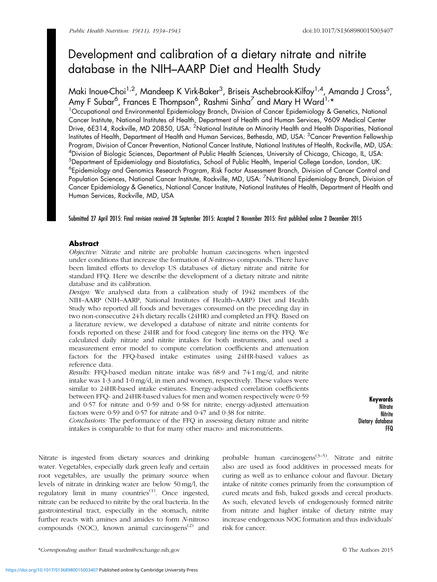# Development and calibration of a dietary nitrate and nitrite database in the NIH–AARP Diet and Health Study

Maki Inoue-Choi<sup>1,2</sup>, Mandeep K Virk-Baker<sup>3</sup>, Briseis Aschebrook-Kilfoy<sup>1,4</sup>, Amanda J Cross<sup>5</sup>, Amy F Subar<sup>6</sup>, Frances E Thompson<sup>6</sup>, Rashmi Sinha<sup>7</sup> and Mary H Ward<sup>1,</sup>\*

<sup>1</sup>Occupational and Environmental Epidemiology Branch, Division of Cancer Epidemiology & Genetics, National Cancer Institute, National Institutes of Health, Department of Health and Human Services, 9609 Medical Center Drive, 6E314, Rockville, MD 20850, USA: <sup>2</sup>National Institute on Minority Health and Health Disparities, National Institutes of Health, Department of Health and Human Services, Bethesda, MD, USA: <sup>3</sup>Cancer Prevention Fellowship Program, Division of Cancer Prevention, National Cancer Institute, National Institutes of Health, Rockville, MD, USA: 4 Division of Biologic Sciences, Department of Public Health Sciences, University of Chicago, Chicago, IL, USA: <sup>5</sup>Department of Epidemiology and Biostatistics, School of Public Health, Imperial College London, London, UK: <sup>6</sup>Epidemiology and Genomics Research Program, Risk Factor Assessment Branch, Division of Cancer Control and Population Sciences, National Cancer Institute, Rockville, MD, USA: <sup>7</sup>Nutritional Epidemiology Branch, Division of Cancer Epidemiology & Genetics, National Cancer Institute, National Institutes of Health, Department of Health and Human Services, Rockville, MD, USA

Submitted 27 April 2015: Final revision received 28 September 2015: Accepted 2 November 2015: First published online 2 December 2015

# Abstract

Objective: Nitrate and nitrite are probable human carcinogens when ingested under conditions that increase the formation of N-nitroso compounds. There have been limited efforts to develop US databases of dietary nitrate and nitrite for standard FFQ. Here we describe the development of a dietary nitrate and nitrite database and its calibration.

Design: We analysed data from a calibration study of 1942 members of the NIH–AARP (NIH–AARP, National Institutes of Health–AARP) Diet and Health Study who reported all foods and beverages consumed on the preceding day in two non-consecutive 24 h dietary recalls (24HR) and completed an FFQ. Based on a literature review, we developed a database of nitrate and nitrite contents for foods reported on these 24HR and for food category line items on the FFQ. We calculated daily nitrate and nitrite intakes for both instruments, and used a measurement error model to compute correlation coefficients and attenuation factors for the FFQ-based intake estimates using 24HR-based values as reference data.

Results: FFQ-based median nitrate intake was 68·9 and 74·1 mg/d, and nitrite intake was 1·3 and 1·0 mg/d, in men and women, respectively. These values were similar to 24HR-based intake estimates. Energy-adjusted correlation coefficients between FFQ- and 24HR-based values for men and women respectively were 0·59 and 0·57 for nitrate and 0·59 and 0·58 for nitrite; energy-adjusted attenuation factors were 0·59 and 0·57 for nitrate and 0·47 and 0·38 for nitrite.

Conclusions: The performance of the FFQ in assessing dietary nitrate and nitrite intakes is comparable to that for many other macro- and micronutrients.

Keywords **Nitrate** Nitrite Dietary database FFQ

Nitrate is ingested from dietary sources and drinking water. Vegetables, especially dark green leafy and certain root vegetables, are usually the primary source when levels of nitrate in drinking water are below 50 mg/l, the regulatory limit in many countries<sup>([1](#page-8-0))</sup>. Once ingested, nitrate can be reduced to nitrite by the oral bacteria. In the gastrointestinal tract, especially in the stomach, nitrite further reacts with amines and amides to form N-nitroso compounds (NOC), known animal carcinogens $^{(2)}$  $^{(2)}$  $^{(2)}$  and

probable human carcinogens<sup> $(3-5)$  $(3-5)$  $(3-5)$  $(3-5)$  $(3-5)$ </sup>. Nitrate and nitrite also are used as food additives in processed meats for curing as well as to enhance colour and flavour. Dietary intake of nitrite comes primarily from the consumption of cured meats and fish, baked goods and cereal products. As such, elevated levels of endogenously formed nitrite from nitrate and higher intake of dietary nitrite may increase endogenous NOC formation and thus individuals' risk for cancer.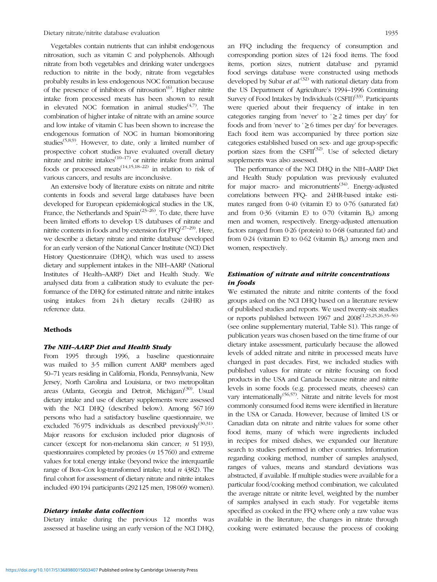Vegetables contain nutrients that can inhibit endogenous nitrosation, such as vitamin C and polyphenols. Although nitrate from both vegetables and drinking water undergoes reduction to nitrite in the body, nitrate from vegetables probably results in less endogenous NOC formation because of the presence of inhibitors of nitrosation<sup>[\(6](#page-8-0))</sup>. Higher nitrite intake from processed meats has been shown to result in elevated NOC formation in animal studies $(4,7)$ . The combination of higher intake of nitrate with an amine source and low intake of vitamin C has been shown to increase the endogenous formation of NOC in human biomonitoring studies[\(5,8,9](#page-8-0)). However, to date, only a limited number of prospective cohort studies have evaluated overall dietary nitrate and nitrite intakes $(10-17)$  $(10-17)$  $(10-17)$  or nitrite intake from animal foods or processed meats<sup> $(14,15,18-22)$  $(14,15,18-22)$  $(14,15,18-22)$  $(14,15,18-22)$ </sup> in relation to risk of various cancers, and results are inconclusive.

An extensive body of literature exists on nitrate and nitrite contents in foods and several large databases have been developed for European epidemiological studies in the UK, France, the Netherlands and Spain<sup> $(23-26)$  $(23-26)$  $(23-26)$ </sup>. To date, there have been limited efforts to develop US databases of nitrate and nitrite contents in foods and by extension for  $FFQ^{(27-29)}$  $FFQ^{(27-29)}$  $FFQ^{(27-29)}$  $FFQ^{(27-29)}$  $FFQ^{(27-29)}$ . Here, we describe a dietary nitrate and nitrite database developed for an early version of the National Cancer Institute (NCI) Diet History Questionnaire (DHQ), which was used to assess dietary and supplement intakes in the NIH–AARP (National Institutes of Health–AARP) Diet and Health Study. We analysed data from a calibration study to evaluate the performance of the DHQ for estimated nitrate and nitrite intakes using intakes from 24 h dietary recalls (24HR) as reference data.

#### Methods

#### The NIH–AARP Diet and Health Study

From 1995 through 1996, a baseline questionnaire was mailed to 3·5 million current AARP members aged 50–71 years residing in California, Florida, Pennsylvania, New Jersey, North Carolina and Louisiana, or two metropolitan areas (Atlanta, Georgia and Detroit, Michigan)<sup>[\(30\)](#page-9-0)</sup>. Usual dietary intake and use of dietary supplements were assessed with the NCI DHQ (described below). Among 567 169 persons who had a satisfactory baseline questionnaire, we excluded 76 975 individuals as described previously<sup>([30,31](#page-9-0))</sup>. Major reasons for exclusion included prior diagnosis of cancer (except for non-melanoma skin cancer;  $n$  51 193), questionnaires completed by proxies  $(n 15760)$  and extreme values for total energy intake (beyond twice the interquartile range of Box–Cox log-transformed intake; total  $n$  4382). The final cohort for assessment of dietary nitrate and nitrite intakes included 490 194 participants (292 125 men, 198 069 women).

#### Dietary intake data collection

Dietary intake during the previous 12 months was assessed at baseline using an early version of the NCI DHQ, an FFQ including the frequency of consumption and corresponding portion sizes of 124 food items. The food items, portion sizes, nutrient database and pyramid food servings database were constructed using methods developed by Subar et  $al^{(32)}$  $al^{(32)}$  $al^{(32)}$  with national dietary data from the US Department of Agriculture's 1994–1996 Continuing Survey of Food Intakes by Individuals  $(CSFII)^{(33)}$  $(CSFII)^{(33)}$  $(CSFII)^{(33)}$ . Participants were queried about their frequency of intake in ten categories ranging from 'never' to ' $\geq$  2 times per day' for foods and from 'never' to ' $\geq$ 6 times per day' for beverages. Each food item was accompanied by three portion size categories established based on sex- and age group-specific portion sizes from the CSFII<sup>([32](#page-9-0))</sup>. Use of selected dietary supplements was also assessed.

The performance of the NCI DHQ in the NIH–AARP Diet and Health Study population was previously evaluated for major macro- and micronutrients<sup> $(34)$  $(34)$  $(34)$ </sup>. Energy-adjusted correlations between FFQ- and 24HR-based intake estimates ranged from 0·40 (vitamin E) to 0·76 (saturated fat) and from  $0.36$  (vitamin E) to  $0.70$  (vitamin B<sub>6</sub>) among men and women, respectively. Energy-adjusted attenuation factors ranged from 0·26 (protein) to 0·68 (saturated fat) and from 0.24 (vitamin E) to 0.62 (vitamin  $B_6$ ) among men and women, respectively.

# Estimation of nitrate and nitrite concentrations in foods

We estimated the nitrate and nitrite contents of the food groups asked on the NCI DHQ based on a literature review of published studies and reports. We used twenty-six studies or reports published between 1967 and 2008([1](#page-8-0),[23,25,26,](#page-8-0)[35](#page-9-0)–[56](#page-9-0)) (see online supplementary material, Table S1). This range of publication years was chosen based on the time frame of our dietary intake assessment, particularly because the allowed levels of added nitrate and nitrite in processed meats have changed in past decades. First, we included studies with published values for nitrate or nitrite focusing on food products in the USA and Canada because nitrate and nitrite levels in some foods (e.g. processed meats, cheeses) can vary internationally<sup> $(56,57)$  $(56,57)$  $(56,57)$  $(56,57)$ </sup>. Nitrate and nitrite levels for most commonly consumed food items were identified in literature in the USA or Canada. However, because of limited US or Canadian data on nitrate and nitrite values for some other food items, many of which were ingredients included in recipes for mixed dishes, we expanded our literature search to studies performed in other countries. Information regarding cooking method, number of samples analysed, ranges of values, means and standard deviations was abstracted, if available. If multiple studies were available for a particular food/cooking method combination, we calculated the average nitrate or nitrite level, weighted by the number of samples analysed in each study. For vegetable items specified as cooked in the FFQ where only a raw value was available in the literature, the changes in nitrate through cooking were estimated because the process of cooking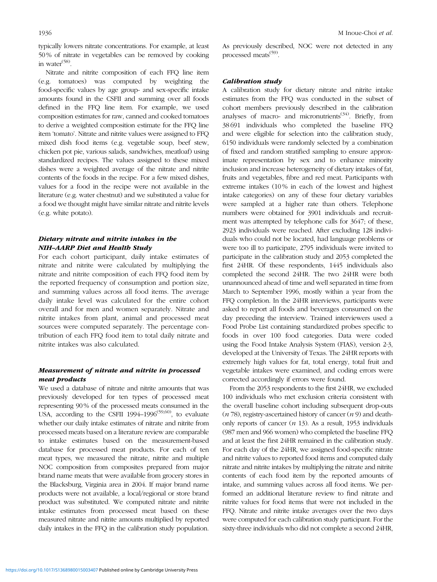typically lowers nitrate concentrations. For example, at least 50 % of nitrate in vegetables can be removed by cooking in water<sup>[\(58](#page-9-0))</sup>.

Nitrate and nitrite composition of each FFQ line item (e.g. tomatoes) was computed by weighting the food-specific values by age group- and sex-specific intake amounts found in the CSFII and summing over all foods defined in the FFQ line item. For example, we used composition estimates for raw, canned and cooked tomatoes to derive a weighted composition estimate for the FFQ line item 'tomato'. Nitrate and nitrite values were assigned to FFQ mixed dish food items (e.g. vegetable soup, beef stew, chicken pot pie, various salads, sandwiches, meatloaf) using standardized recipes. The values assigned to these mixed dishes were a weighted average of the nitrate and nitrite contents of the foods in the recipe. For a few mixed dishes, values for a food in the recipe were not available in the literature (e.g. water chestnut) and we substituted a value for a food we thought might have similar nitrate and nitrite levels (e.g. white potato).

# Dietary nitrate and nitrite intakes in the NIH–AARP Diet and Health Study

For each cohort participant, daily intake estimates of nitrate and nitrite were calculated by multiplying the nitrate and nitrite composition of each FFQ food item by the reported frequency of consumption and portion size, and summing values across all food items. The average daily intake level was calculated for the entire cohort overall and for men and women separately. Nitrate and nitrite intakes from plant, animal and processed meat sources were computed separately. The percentage contribution of each FFQ food item to total daily nitrate and nitrite intakes was also calculated.

# Measurement of nitrate and nitrite in processed meat products

We used a database of nitrate and nitrite amounts that was previously developed for ten types of processed meat representing 90 % of the processed meats consumed in the USA, according to the CSFII 1994–1996<sup>[\(59,60](#page-9-0))</sup>, to evaluate whether our daily intake estimates of nitrate and nitrite from processed meats based on a literature review are comparable to intake estimates based on the measurement-based database for processed meat products. For each of ten meat types, we measured the nitrate, nitrite and multiple NOC composition from composites prepared from major brand name meats that were available from grocery stores in the Blacksburg, Virginia area in 2004. If major brand name products were not available, a local/regional or store brand product was substituted. We computed nitrate and nitrite intake estimates from processed meat based on these measured nitrate and nitrite amounts multiplied by reported daily intakes in the FFQ in the calibration study population. As previously described, NOC were not detected in any processed meats<sup>([59](#page-9-0))</sup>.

## Calibration study

A calibration study for dietary nitrate and nitrite intake estimates from the FFQ was conducted in the subset of cohort members previously described in the calibration analyses of macro- and micronutrients<sup> $(34)$  $(34)$  $(34)$ </sup>. Briefly, from 38 691 individuals who completed the baseline FFQ and were eligible for selection into the calibration study, 6150 individuals were randomly selected by a combination of fixed and random stratified sampling to ensure approximate representation by sex and to enhance minority inclusion and increase heterogeneity of dietary intakes of fat, fruits and vegetables, fibre and red meat. Participants with extreme intakes (10% in each of the lowest and highest intake categories) on any of these four dietary variables were sampled at a higher rate than others. Telephone numbers were obtained for 3901 individuals and recruitment was attempted by telephone calls for 3647; of these, 2923 individuals were reached. After excluding 128 individuals who could not be located, had language problems or were too ill to participate, 2795 individuals were invited to participate in the calibration study and 2053 completed the first 24HR. Of these respondents, 1445 individuals also completed the second 24HR. The two 24HR were both unannounced ahead of time and well separated in time from March to September 1996, mostly within a year from the FFQ completion. In the 24HR interviews, participants were asked to report all foods and beverages consumed on the day preceding the interview. Trained interviewers used a Food Probe List containing standardized probes specific to foods in over 100 food categories. Data were coded using the Food Intake Analysis System (FIAS), version 2·3, developed at the University of Texas. The 24HR reports with extremely high values for fat, total energy, total fruit and vegetable intakes were examined, and coding errors were corrected accordingly if errors were found.

From the 2053 respondents to the first 24HR, we excluded 100 individuals who met exclusion criteria consistent with the overall baseline cohort including subsequent drop-outs  $(n 78)$ , registry-ascertained history of cancer  $(n 9)$  and deathonly reports of cancer  $(n 13)$ . As a result, 1953 individuals (987 men and 966 women) who completed the baseline FFQ and at least the first 24HR remained in the calibration study. For each day of the 24HR, we assigned food-specific nitrate and nitrite values to reported food items and computed daily nitrate and nitrite intakes by multiplying the nitrate and nitrite contents of each food item by the reported amounts of intake, and summing values across all food items. We performed an additional literature review to find nitrate and nitrite values for food items that were not included in the FFQ. Nitrate and nitrite intake averages over the two days were computed for each calibration study participant. For the sixty-three individuals who did not complete a second 24HR,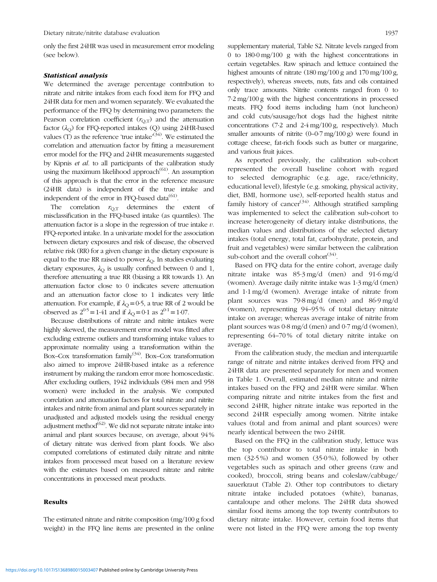only the first 24HR was used in measurement error modeling (see below).

#### Statistical analysis

We determined the average percentage contribution to nitrate and nitrite intakes from each food item for FFQ and 24HR data for men and women separately. We evaluated the performance of the FFQ by determining two parameters: the Pearson correlation coefficient  $(r_{Q,T})$  and the attenuation factor  $(\lambda_{\text{O}})$  for FFQ-reported intakes  $(\text{Q})$  using 24HR-based values  $(T)$  as the reference 'true intake'<sup>[\(34\)](#page-9-0)</sup>. We estimated the correlation and attenuation factor by fitting a measurement error model for the FFQ and 24HR measurements suggested by Kipnis et al. to all participants of the calibration study using the maximum likelihood approach<sup>([61](#page-9-0))</sup>. An assumption of this approach is that the error in the reference measure (24HR data) is independent of the true intake and independent of the error in FFQ-based data<sup>[\(61](#page-9-0))</sup>.

The correlation  $r_{\text{OT}}$  determines the extent of misclassification in the FFQ-based intake (as quantiles). The attenuation factor is a slope in the regression of true intake  $v$ . FFQ-reported intake. In a univariate model for the association between dietary exposures and risk of disease, the observed relative risk (RR) for a given change in the dietary exposure is equal to the true RR raised to power  $\lambda_{\text{O}}$ . In studies evaluating dietary exposures,  $\lambda_{\text{O}}$  is usually confined between 0 and 1, therefore attenuating a true RR (biasing a RR towards 1). An attenuation factor close to 0 indicates severe attenuation and an attenuation factor close to 1 indicates very little attenuation. For example, if  $\lambda_{\text{O}} = 0.5$ , a true RR of 2 would be observed as  $2^{0.5} = 1.41$  and if  $\lambda_{\Omega} = 0.1$  as  $2^{0.1} = 1.07$ .

Because distributions of nitrate and nitrite intakes were highly skewed, the measurement error model was fitted after excluding extreme outliers and transforming intake values to approximate normality using a transformation within the Box–Cox transformation family<sup>[\(34](#page-9-0))</sup>. Box–Cox transformation also aimed to improve 24HR-based intake as a reference instrument by making the random error more homoscedastic. After excluding outliers, 1942 individuals (984 men and 958 women) were included in the analysis. We computed correlation and attenuation factors for total nitrate and nitrite intakes and nitrite from animal and plant sources separately in unadjusted and adjusted models using the residual energy adjustment method $^{(62)}$  $^{(62)}$  $^{(62)}$ . We did not separate nitrate intake into animal and plant sources because, on average, about 94 % of dietary nitrate was derived from plant foods. We also computed correlations of estimated daily nitrate and nitrite intakes from processed meat based on a literature review with the estimates based on measured nitrate and nitrite concentrations in processed meat products.

## Results

The estimated nitrate and nitrite composition (mg/100 g food weight) in the FFQ line items are presented in the online supplementary material, Table S2. Nitrate levels ranged from 0 to 180·0 mg/100 g with the highest concentrations in certain vegetables. Raw spinach and lettuce contained the highest amounts of nitrate (180 mg/100 g and 170 mg/100 g, respectively), whereas sweets, nuts, fats and oils contained only trace amounts. Nitrite contents ranged from 0 to 7·2 mg/100 g with the highest concentrations in processed meats. FFQ food items including ham (not luncheon) and cold cuts/sausage/hot dogs had the highest nitrite concentrations (7·2 and 2·4 mg/100 g, respectively). Much smaller amounts of nitrite  $(0-0.7 \text{ mg}/100 \text{ g})$  were found in cottage cheese, fat-rich foods such as butter or margarine, and various fruit juices.

As reported previously, the calibration sub-cohort represented the overall baseline cohort with regard to selected demographic (e.g. age, race/ethnicity, educational level), lifestyle (e.g. smoking, physical activity, diet, BMI, hormone use), self-reported health status and family history of cancer<sup>[\(34](#page-9-0))</sup>. Although stratified sampling was implemented to select the calibration sub-cohort to increase heterogeneity of dietary intake distributions, the median values and distributions of the selected dietary intakes (total energy, total fat, carbohydrate, protein, and fruit and vegetables) were similar between the calibration sub-cohort and the overall cohort $(34)$  $(34)$ .

Based on FFQ data for the entire cohort, average daily nitrate intake was 85·3 mg/d (men) and 91·6 mg/d (women). Average daily nitrite intake was 1·3 mg/d (men) and 1·1 mg/d (women). Average intake of nitrate from plant sources was 79·8 mg/d (men) and 86·9 mg/d (women), representing 94–95 % of total dietary nitrate intake on average; whereas average intake of nitrite from plant sources was 0·8 mg/d (men) and 0·7 mg/d (women), representing 64–70 % of total dietary nitrite intake on average.

From the calibration study, the median and interquartile range of nitrate and nitrite intakes derived from FFQ and 24HR data are presented separately for men and women in [Table 1](#page-4-0). Overall, estimated median nitrate and nitrite intakes based on the FFQ and 24HR were similar. When comparing nitrate and nitrite intakes from the first and second 24HR, higher nitrate intake was reported in the second 24HR especially among women. Nitrite intake values (total and from animal and plant sources) were nearly identical between the two 24HR.

Based on the FFQ in the calibration study, lettuce was the top contributor to total nitrate intake in both men (32·5 %) and women (35·0 %), followed by other vegetables such as spinach and other greens (raw and cooked), broccoli, string beans and coleslaw/cabbage/ sauerkraut ([Table 2\)](#page-5-0). Other top contributors to dietary nitrate intake included potatoes (white), bananas, cantaloupe and other melons. The 24HR data showed similar food items among the top twenty contributors to dietary nitrate intake. However, certain food items that were not listed in the FFQ were among the top twenty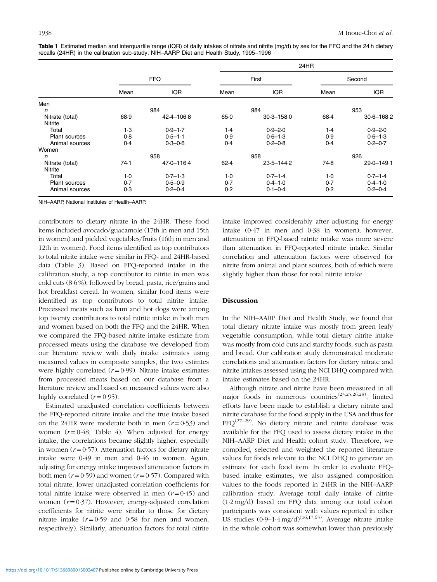|                      |            |                | 24HR  |                |        |                |
|----------------------|------------|----------------|-------|----------------|--------|----------------|
|                      | <b>FFQ</b> |                | First |                | Second |                |
|                      | Mean       | <b>IQR</b>     | Mean  | IQR            | Mean   | <b>IQR</b>     |
| Men                  |            |                |       |                |        |                |
| n                    |            | 984            |       | 984            |        | 953            |
| Nitrate (total)      | 68.9       | $42.4 - 106.8$ | 65.0  | $30.3 - 158.0$ | 68.4   | $30.6 - 168.2$ |
| Nitrite              |            |                |       |                |        |                |
| Total                | $1-3$      | $0.9 - 1.7$    | 1.4   | $0.9 - 2.0$    | 1.4    | $0.9 - 2.0$    |
| <b>Plant sources</b> | 0.8        | $0.5 - 1.1$    | 0.9   | $0.6 - 1.3$    | 0.9    | $0.6 - 1.3$    |
| Animal sources       | 0.4        | $0.3 - 0.6$    | 0.4   | $0.2 - 0.8$    | 0.4    | $0.2 - 0.7$    |
| Women                |            |                |       |                |        |                |
| n                    |            | 958            |       | 958            |        | 926            |
| Nitrate (total)      | 74.1       | $47.0 - 116.4$ | 62.4  | $23.5 - 144.2$ | 74.8   | 29.0-149.1     |
| Nitrite              |            |                |       |                |        |                |
| Total                | $1-0$      | $0.7 - 1.3$    | $1-0$ | $0.7 - 1.4$    | $1-0$  | $0.7 - 1.4$    |
| <b>Plant sources</b> | 0.7        | $0.5 - 0.9$    | 0.7   | $0.4 - 1.0$    | 0.7    | $0.4 - 1.0$    |
| Animal sources       | 0.3        | $0.2 - 0.4$    | 0.2   | $0.1 - 0.4$    | 0.2    | $0.2 - 0.4$    |

<span id="page-4-0"></span>Table 1 Estimated median and interquartile range (IQR) of daily intakes of nitrate and nitrite (mg/d) by sex for the FFQ and the 24 h dietary recalls (24HR) in the calibration sub-study: NIH–AARP Diet and Health Study, 1995–1996

NIH–AARP, National Institutes of Health–AARP.

contributors to dietary nitrate in the 24HR. These food items included avocado/guacamole (17th in men and 15th in women) and pickled vegetables/fruits (16th in men and 12th in women). Food items identified as top contributors to total nitrite intake were similar in FFQ- and 24HR-based data [\(Table 3](#page-6-0)). Based on FFQ-reported intake in the calibration study, a top contributor to nitrite in men was cold cuts (8·6 %), followed by bread, pasta, rice/grains and hot breakfast cereal. In women, similar food items were identified as top contributors to total nitrite intake. Processed meats such as ham and hot dogs were among top twenty contributors to total nitrite intake in both men and women based on both the FFQ and the 24HR. When we compared the FFQ-based nitrite intake estimate from processed meats using the database we developed from our literature review with daily intake estimates using measured values in composite samples, the two estimtes were highly correlated  $(r=0.99)$ . Nitrate intake estimates from processed meats based on our database from a literature review and based on measured values were also highly correlated  $(r=0.95)$ .

Estimated unadjusted correlation coefficients between the FFQ-reported nitrate intake and the true intake based on the 24HR were moderate both in men  $(r=0.53)$  and women  $(r=0.48;$  [Table 4\)](#page-6-0). When adjusted for energy intake, the correlations became slightly higher, especially in women  $(r=0.57)$ . Attenuation factors for dietary nitrate intake were 0·49 in men and 0·46 in women. Again, adjusting for energy intake improved attenuation factors in both men  $(r=0.59)$  and women  $(r=0.57)$ . Compared with total nitrate, lower unadjusted correlation coefficients for total nitrite intake were observed in men  $(r=0.45)$  and women  $(r=0.37)$ . However, energy-adjusted correlation coefficients for nitrite were similar to those for dietary nitrate intake  $(r=0.59$  and 0.58 for men and women, respectively). Similarly, attenuation factors for total nitrite intake improved considerably after adjusting for energy intake (0·47 in men and 0·38 in women); however, attenuation in FFQ-based nitrite intake was more severe than attenuation in FFQ-reported nitrate intake. Similar correlation and attenuation factors were observed for nitrite from animal and plant sources, both of which were slightly higher than those for total nitrite intake.

## Discussion

In the NIH–AARP Diet and Health Study, we found that total dietary nitrate intake was mostly from green leafy vegetable consumption, while total dietary nitrite intake was mostly from cold cuts and starchy foods, such as pasta and bread. Our calibration study demonstrated moderate correlations and attenuation factors for dietary nitrate and nitrite intakes assessed using the NCI DHQ compared with intake estimates based on the 24HR.

Although nitrate and nitrite have been measured in all major foods in numerous countries<sup> $(23,25,26,28)$  $(23,25,26,28)$  $(23,25,26,28)$  $(23,25,26,28)$ </sup>, limited efforts have been made to establish a dietary nitrate and nitrite database for the food supply in the USA and thus for  $FFO<sup>(27-29)</sup>$  $FFO<sup>(27-29)</sup>$  $FFO<sup>(27-29)</sup>$  $FFO<sup>(27-29)</sup>$  $FFO<sup>(27-29)</sup>$ . No dietary nitrate and nitrite database was available for the FFQ used to assess dietary intake in the NIH–AARP Diet and Health cohort study. Therefore, we compiled, selected and weighted the reported literature values for foods relevant to the NCI DHQ to generate an estimate for each food item. In order to evaluate FFQbased intake estimates, we also assigned composition values to the foods reported in 24HR in the NIH–AARP calibration study. Average total daily intake of nitrite (1·2 mg/d) based on FFQ data among our total cohort participants was consistent with values reported in other US studies  $(0.9-1.4 \text{ mg/d})^{(16,17,63)}$  $(0.9-1.4 \text{ mg/d})^{(16,17,63)}$  $(0.9-1.4 \text{ mg/d})^{(16,17,63)}$  $(0.9-1.4 \text{ mg/d})^{(16,17,63)}$ . Average nitrate intake in the whole cohort was somewhat lower than previously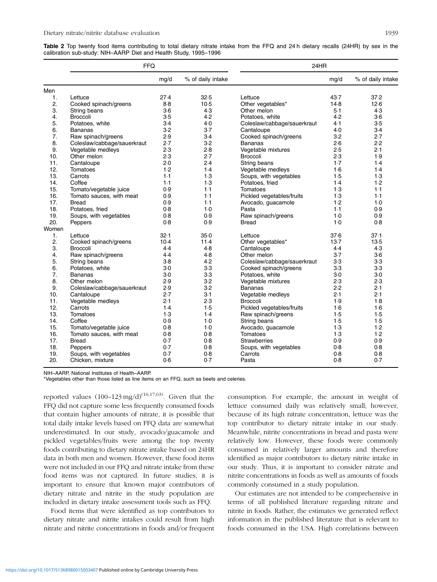<span id="page-5-0"></span>Table 2 Top twenty food items contributing to total dietary nitrate intake from the FFQ and 24 h dietary recalls (24HR) by sex in the calibration sub-study: NIH–AARP Diet and Health Study, 1995–1996

|       | <b>FFQ</b>                  |        |                   | 24HR                        |       |                   |
|-------|-----------------------------|--------|-------------------|-----------------------------|-------|-------------------|
|       |                             | mg/d   | % of daily intake |                             | mg/d  | % of daily intake |
| Men   |                             |        |                   |                             |       |                   |
| 1.    | Lettuce                     | 27.4   | 32.5              | Lettuce                     | 43.7  | 37.2              |
| 2.    | Cooked spinach/greens       | 8.8    | 10.5              | Other vegetables*           | 14.8  | 12.6              |
| 3.    | String beans                | $3-6$  | 4.3               | Other melon                 | $5-1$ | 4.3               |
| 4.    | <b>Broccoli</b>             | 3.5    | 4.2               | Potatoes, white             | 4.2   | $3-6$             |
| 5.    | Potatoes, white             | 3.4    | 4.0               | Coleslaw/cabbage/sauerkraut | 4.1   | 3.5               |
| 6.    | <b>Bananas</b>              | 3.2    | $3-7$             | Cantaloupe                  | 4.0   | $3-4$             |
| 7.    | Raw spinach/greens          | 2.9    | 3.4               | Cooked spinach/greens       | 3.2   | 2.7               |
| 8.    | Coleslaw/cabbage/sauerkraut | 2.7    | 3.2               | <b>Bananas</b>              | 2.6   | 2.2               |
| 9.    | Vegetable medleys           | 2.3    | 2.8               | Vegetable mixtures          | 2.5   | 2.1               |
| 10.   | Other melon                 | 2.3    | 2.7               | <b>Broccoli</b>             | 2.3   | 1.9               |
| 11.   | Cantaloupe                  | 2.0    | 2.4               | String beans                | 1.7   | 1.4               |
| 12.   | Tomatoes                    | 1.2    | 1.4               | Vegetable medleys           | 1.6   | 1.4               |
| 13.   | Carrots                     | 1.1    | 1.3               | Soups, with vegetables      | 1.5   | 1.3               |
| 14.   | Coffee                      | 1.1    | 1.3               | Potatoes, fried             | 1.4   | 1.2               |
| 15.   | Tomato/vegetable juice      | 0.9    | 1.1               | Tomatoes                    | 1.3   | $1-1$             |
| 16.   | Tomato sauces, with meat    | 0.9    | 1.1               | Pickled vegetables/fruits   | 1.3   | 1.1               |
| 17.   | <b>Bread</b>                | 0.9    | $1-1$             | Avocado, guacamole          | 1.2   | $1-0$             |
| 18.   | Potatoes, fried             | 0.8    | $1-0$             | Pasta                       | 1.1   | 0.9               |
| 19.   | Soups, with vegetables      | 0.8    | 0.9               | Raw spinach/greens          | $1-0$ | 0.9               |
| 20.   | Peppers                     | 0.8    | 0.9               | <b>Bread</b>                | $1-0$ | 0.8               |
| Women |                             |        |                   |                             |       |                   |
| 1.    | Lettuce                     | 32.1   | 35.0              | Lettuce                     | 37.6  | 37.1              |
| 2.    | Cooked spinach/greens       | $10-4$ | 11.4              | Other vegetables*           | 13.7  | 13.5              |
| 3.    | <b>Broccoli</b>             | 4.4    | 4.8               | Cantaloupe                  | 4.4   | 4.3               |
| 4.    | Raw spinach/greens          | 4.4    | 4.8               | Other melon                 | 3.7   | $3-6$             |
| 5.    | String beans                | $3-8$  | 4.2               | Coleslaw/cabbage/sauerkraut | $3-3$ | $3-3$             |
| 6.    | Potatoes, white             | 3.0    | $3-3$             | Cooked spinach/greens       | $3-3$ | $3-3$             |
| 7.    | <b>Bananas</b>              | $3-0$  | $3-3$             | Potatoes, white             | $3-0$ | $3-0$             |
| 8.    | Other melon                 | 2.9    | 3.2               | Vegetable mixtures          | 2.3   | 2.3               |
| 9.    | Coleslaw/cabbage/sauerkraut | 2.9    | 3.2               | Bananas                     | 2.2   | 2.1               |
| 10.   | Cantaloupe                  | 2.7    | 3.1               | Vegetable medleys           | 2.1   | 2.1               |
| 11.   | Vegetable medleys           | 2.1    | 2.3               | <b>Broccoli</b>             | 1.9   | 1.8               |
| 12.   | Carrots                     | 1.4    | 1.5               | Pickled vegetables/fruits   | 1.6   | 1·6               |
| 13.   | Tomatoes                    | 1.3    | 1.4               | Raw spinach/greens          | 1.5   | 1.5               |
| 14.   | Coffee                      | 0.9    | $1-0$             | String beans                | 1.5   | 1.5               |
| 15.   | Tomato/vegetable juice      | 0.8    | $1-0$             | Avocado, guacamole          | 1.3   | 1.2               |
| 16.   | Tomato sauces, with meat    | 0.8    | 0.8               | Tomatoes                    | 1.3   | 1.2               |
| 17.   | <b>Bread</b>                | 0.7    | 0.8               | Strawberries                | 0.9   | 0.9               |
| 18.   | Peppers                     | 0.7    | 0.8               | Soups, with vegetables      | 0.8   | 0.8               |
| 19.   | Soups, with vegetables      | 0.7    | 0.8               | Carrots                     | 0.8   | 0.8               |
| 20.   | Chicken, mixture            | 0.6    | 0.7               | Pasta                       | 0.8   | 0.7               |

NIH–AARP, National Institutes of Health–AARP.

\*Vegetables other than those listed as line items on an FFQ, such as beets and celeries.

reported values  $(100-123 \text{ mg/d})^{(16,17,63)}$  $(100-123 \text{ mg/d})^{(16,17,63)}$  $(100-123 \text{ mg/d})^{(16,17,63)}$  $(100-123 \text{ mg/d})^{(16,17,63)}$  $(100-123 \text{ mg/d})^{(16,17,63)}$ . Given that the FFQ did not capture some less frequently consumed foods that contain higher amounts of nitrate, it is possible that total daily intake levels based on FFQ data are somewhat underestimated. In our study, avocado/guacamole and pickled vegetables/fruits were among the top twenty foods contributing to dietary nitrate intake based on 24HR data in both men and women. However, these food items were not included in our FFQ and nitrate intake from these food items was not captured. In future studies, it is important to ensure that known major contributors of dietary nitrate and nitrite in the study population are included in dietary intake assessment tools such as FFQ.

Food items that were identified as top contributors to dietary nitrate and nitrite intakes could result from high nitrate and nitrite concentrations in foods and/or frequent consumption. For example, the amount in weight of lettuce consumed daily was relatively small; however, because of its high nitrate concentration, lettuce was the top contributor to dietary nitrate intake in our study. Meanwhile, nitrite concentrations in bread and pasta were relatively low. However, these foods were commonly consumed in relatively larger amounts and therefore identified as major contributors to dietary nitrite intake in our study. Thus, it is important to consider nitrate and nitrite concentrations in foods as well as amounts of foods commonly consumed in a study population.

Our estimates are not intended to be comprehensive in terms of all published literature regarding nitrate and nitrite in foods. Rather, the estimates we generated reflect information in the published literature that is relevant to foods consumed in the USA. High correlations between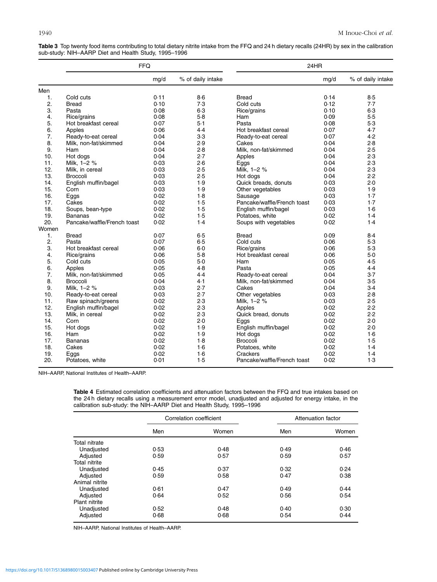<span id="page-6-0"></span>Table 3 Top twenty food items contributing to total dietary nitrite intake from the FFQ and 24 h dietary recalls (24HR) by sex in the calibration sub-study: NIH–AARP Diet and Health Study, 1995–1996

|                | <b>FFQ</b>                  |      |                   | 24HR                        |      |                   |
|----------------|-----------------------------|------|-------------------|-----------------------------|------|-------------------|
|                |                             | mg/d | % of daily intake |                             | mg/d | % of daily intake |
| Men            |                             |      |                   |                             |      |                   |
| 1.             | Cold cuts                   | 0.11 | $8-6$             | <b>Bread</b>                | 0.14 | 8.5               |
| 2.             | <b>Bread</b>                | 0.10 | 7.3               | Cold cuts                   | 0.12 | 7.7               |
| 3.             | Pasta                       | 0.08 | $6-3$             | Rice/grains                 | 0.10 | 6.3               |
| 4.             | Rice/grains                 | 0.08 | $5-8$             | Ham                         | 0.09 | 5.5               |
| 5.             | Hot breakfast cereal        | 0.07 | $5-1$             | Pasta                       | 0.08 | 5.3               |
| 6.             | Apples                      | 0.06 | 4.4               | Hot breakfast cereal        | 0.07 | 4.7               |
| 7.             | Ready-to-eat cereal         | 0.04 | 3.3               | Ready-to-eat cereal         | 0.07 | 4.2               |
| 8.             | Milk, non-fat/skimmed       | 0.04 | 2.9               | Cakes                       | 0.04 | 2.8               |
| 9.             | Ham                         | 0.04 | 2.8               | Milk, non-fat/skimmed       | 0.04 | 2.5               |
| 10.            | Hot dogs                    | 0.04 | 2.7               | Apples                      | 0.04 | 2.3               |
| 11.            | Milk, 1-2 %                 | 0.03 | 2.6               | Eggs                        | 0.04 | 2.3               |
| 12.            | Milk, in cereal             | 0.03 | 2.5               | Milk, 1-2 %                 | 0.04 | 2.3               |
| 13.            | <b>Broccoli</b>             | 0.03 | 2.5               | Hot dogs                    | 0.04 | 2.2               |
| 14.            | English muffin/bagel        | 0.03 | 1.9               | Quick breads, donuts        | 0.03 | 2.0               |
| 15.            | Corn                        | 0.03 | 1.9               | Other vegetables            | 0.03 | 1.9               |
| 16.            | Eggs                        | 0.02 | 1.8               | Sausage                     | 0.03 | 1.7               |
| 17.            | Cakes                       | 0.02 | 1.5               | Pancake/waffle/French toast | 0.03 | $1-7$             |
| 18.            | Soups, bean-type            | 0.02 | 1.5               | English muffin/bagel        | 0.03 | 1.6               |
| 19.            | <b>Bananas</b>              | 0.02 | 1.5               | Potatoes, white             | 0.02 | 1.4               |
| 20.            | Pancake/waffle/French toast | 0.02 | 1.4               | Soups with vegetables       | 0.02 | 1.4               |
| Women          |                             |      |                   |                             |      |                   |
| $\mathbf{1}$ . | <b>Bread</b>                | 0.07 | 6.5               | <b>Bread</b>                | 0.09 | 8.4               |
| 2.             | Pasta                       | 0.07 | 6.5               | Cold cuts                   | 0.06 | 5.3               |
| 3.             | Hot breakfast cereal        | 0.06 | $6-0$             | Rice/grains                 | 0.06 | 5.3               |
| 4.             | Rice/grains                 | 0.06 | 5.8               | Hot breakfast cereal        | 0.06 | 5.0               |
| 5.             | Cold cuts                   | 0.05 | 5.0               | Ham                         | 0.05 | 4.5               |
| 6.             | Apples                      | 0.05 | 4.8               | Pasta                       | 0.05 | 4.4               |
| 7.             | Milk, non-fat/skimmed       | 0.05 | 4.4               | Ready-to-eat cereal         | 0.04 | 3.7               |
| 8.             | <b>Broccoli</b>             | 0.04 | 4.1               | Milk, non-fat/skimmed       | 0.04 | 3.5               |
| 9.             | Milk, 1-2 %                 | 0.03 | 2.7               | Cakes                       | 0.04 | $3-4$             |
| 10.            | Ready-to-eat cereal         | 0.03 | 2.7               | Other vegetables            | 0.03 | 2.8               |
| 11.            | Raw spinach/greens          | 0.02 | 2.3               | Milk, 1-2 %                 | 0.03 | 2.5               |
| 12.            | English muffin/bagel        | 0.02 | 2.3               | Apples                      | 0.02 | 2.2               |
| 13.            | Milk, in cereal             | 0.02 | 2.3               | Quick bread, donuts         | 0.02 | 2.2               |
| 14.            | Corn                        | 0.02 | 2.0               | Eggs                        | 0.02 | 2.0               |
| 15.            | Hot dogs                    | 0.02 | 1.9               | English muffin/bagel        | 0.02 | 2.0               |
| 16.            | Ham                         | 0.02 | 1.9               | Hot dogs                    | 0.02 | 1.6               |
| 17.            | <b>Bananas</b>              | 0.02 | 1.8               | Broccoli                    | 0.02 | 1.5               |
| 18.            | Cakes                       | 0.02 | 1·6               | Potatoes, white             | 0.02 | 1.4               |
| 19.            | Eggs                        | 0.02 | 1·6               | Crackers                    | 0.02 | 1.4               |
| 20.            | Potatoes, white             | 0.01 | 1.5               | Pancake/waffle/French toast | 0.02 | 1.3               |

NIH–AARP, National Institutes of Health–AARP.

Table 4 Estimated correlation coefficients and attenuation factors between the FFQ and true intakes based on the 24 h dietary recalls using a measurement error model, unadjusted and adjusted for energy intake, in the calibration sub-study: the NIH–AARP Diet and Health Study, 1995–1996

|                      |      | Correlation coefficient | Attenuation factor |       |  |
|----------------------|------|-------------------------|--------------------|-------|--|
|                      | Men  | Women                   | Men                | Women |  |
| Total nitrate        |      |                         |                    |       |  |
| Unadjusted           | 0.53 | 0.48                    | 0.49               | 0.46  |  |
| Adjusted             | 0.59 | 0.57                    | 0.59               | 0.57  |  |
| <b>Total nitrite</b> |      |                         |                    |       |  |
| Unadjusted           | 0.45 | 0.37                    | 0.32               | 0.24  |  |
| Adjusted             | 0.59 | 0.58                    | 0.47               | 0.38  |  |
| Animal nitrite       |      |                         |                    |       |  |
| Unadjusted           | 0.61 | 0.47                    | 0.49               | 0.44  |  |
| Adjusted             | 0.64 | 0.52                    | 0.56               | 0.54  |  |
| Plant nitrite        |      |                         |                    |       |  |
| Unadjusted           | 0.52 | 0.48                    | 0.40               | 0.30  |  |
| Adjusted             | 0.68 | 0.68                    | 0.54               | 0.44  |  |

NIH–AARP, National Institutes of Health–AARP.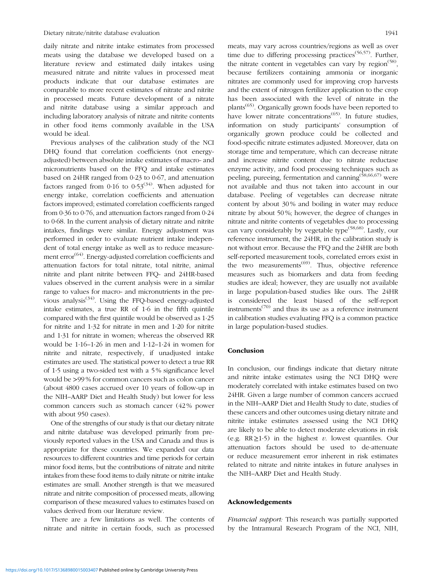daily nitrate and nitrite intake estimates from processed meats using the database we developed based on a literature review and estimated daily intakes using measured nitrate and nitrite values in processed meat products indicate that our database estimates are comparable to more recent estimates of nitrate and nitrite in processed meats. Future development of a nitrate and nitrite database using a similar approach and including laboratory analysis of nitrate and nitrite contents in other food items commonly available in the USA would be ideal.

Previous analyses of the calibration study of the NCI DHQ found that correlation coefficients (not energyadjusted) between absolute intake estimates of macro- and micronutrients based on the FFQ and intake estimates based on 24HR ranged from 0·23 to 0·67, and attenuation factors ranged from 0.16 to 0.53<sup>[\(34](#page-9-0))</sup>. When adjusted for energy intake, correlation coefficients and attenuation factors improved; estimated correlation coefficients ranged from 0·36 to 0·76, and attenuation factors ranged from 0·24 to 0·68. In the current analysis of dietary nitrate and nitrite intakes, findings were similar. Energy adjustment was performed in order to evaluate nutrient intake independent of total energy intake as well as to reduce measure-ment error<sup>([64\)](#page-9-0)</sup>. Energy-adjusted correlation coefficients and attenuation factors for total nitrate, total nitrite, animal nitrite and plant nitrite between FFQ- and 24HR-based values observed in the current analysis were in a similar range to values for macro- and micronutrients in the previous analysis<sup> $(34)$  $(34)$ </sup>. Using the FFQ-based energy-adjusted intake estimates, a true RR of 1·6 in the fifth quintile compared with the first quintile would be observed as 1·25 for nitrite and 1·32 for nitrate in men and 1·20 for nitrite and 1·31 for nitrate in women; whereas the observed RR would be 1·16–1·26 in men and 1·12–1·24 in women for nitrite and nitrate, respectively, if unadjusted intake estimates are used. The statistical power to detect a true RR of 1·5 using a two-sided test with a 5 % significance level would be >99 % for common cancers such as colon cancer (about 4800 cases accrued over 10 years of follow-up in the NIH–AARP Diet and Health Study) but lower for less common cancers such as stomach cancer (42 % power with about 950 cases).

One of the strengths of our study is that our dietary nitrate and nitrite database was developed primarily from previously reported values in the USA and Canada and thus is appropriate for these countries. We expanded our data resources to different countries and time periods for certain minor food items, but the contributions of nitrate and nitrite intakes from these food items to daily nitrate or nitrite intake estimates are small. Another strength is that we measured nitrate and nitrite composition of processed meats, allowing comparison of these measured values to estimates based on values derived from our literature review.

There are a few limitations as well. The contents of nitrate and nitrite in certain foods, such as processed meats, may vary across countries/regions as well as over time due to differing processing practices<sup> $(56,57)$  $(56,57)$ </sup>. Further, the nitrate content in vegetables can vary by region<sup>([58\)](#page-9-0)</sup>. because fertilizers containing ammonia or inorganic nitrates are commonly used for improving crop harvests and the extent of nitrogen fertilizer application to the crop has been associated with the level of nitrate in the plants<sup>([65\)](#page-9-0)</sup>. Organically grown foods have been reported to have lower nitrate concentrations<sup> $(65)$  $(65)$ </sup>. In future studies, information on study participants' consumption of organically grown produce could be collected and food-specific nitrate estimates adjusted. Moreover, data on storage time and temperature, which can decrease nitrate and increase nitrite content due to nitrate reductase enzyme activity, and food processing techniques such as peeling, pureeing, fermentation and canning([58,66,67](#page-9-0)) were not available and thus not taken into account in our database. Peeling of vegetables can decrease nitrate content by about 30 % and boiling in water may reduce nitrate by about 50 %; however, the degree of changes in nitrate and nitrite contents of vegetables due to processing can vary considerably by vegetable type[\(58](#page-9-0),[68](#page-9-0)). Lastly, our reference instrument, the 24HR, in the calibration study is not without error. Because the FFQ and the 24HR are both self-reported measurement tools, correlated errors exist in the two measurements<sup> $(69)$  $(69)$ </sup>. Thus, objective reference measures such as biomarkers and data from feeding studies are ideal; however, they are usually not available in large population-based studies like ours. The 24HR is considered the least biased of the self-report instruments<sup> $(70)$  $(70)$ </sup> and thus its use as a reference instrument in calibration studies evaluating FFQ is a common practice in large population-based studies.

#### Conclusion

In conclusion, our findings indicate that dietary nitrate and nitrite intake estimates using the NCI DHQ were moderately correlated with intake estimates based on two 24HR. Given a large number of common cancers accrued in the NIH–AARP Diet and Health Study to date, studies of these cancers and other outcomes using dietary nitrate and nitrite intake estimates assessed using the NCI DHQ are likely to be able to detect moderate elevations in risk (e.g. RR $\geq$ 1.5) in the highest v. lowest quantiles. Our attenuation factors should be used to de-attenuate or reduce measurement error inherent in risk estimates related to nitrate and nitrite intakes in future analyses in the NIH–AARP Diet and Health Study.

## Acknowledgements

Financial support: This research was partially supported by the Intramural Research Program of the NCI, NIH,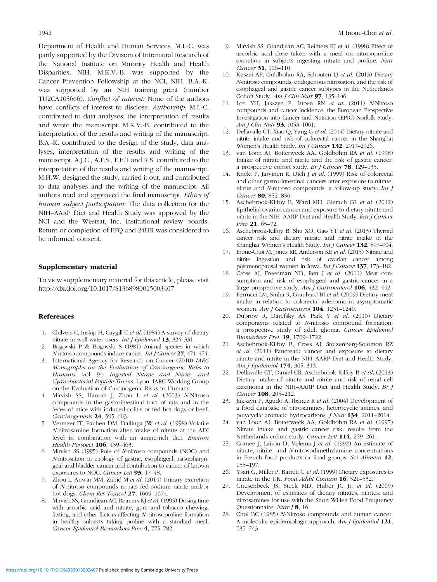<span id="page-8-0"></span>Department of Health and Human Services. M.I.-C. was partly supported by the Division of Intramural Research of the National Institute on Minority Health and Health Disparities, NIH. M.K.V.-B. was supported by the Cancer Prevention Fellowship at the NCI, NIH. B.A.-K. was supported by an NIH training grant (number TU2CA105666). Conflict of interest: None of the authors have conflicts of interest to disclose. Authorship: M.I.-C. contributed to data analyses, the interpretation of results and wrote the manuscript. M.K.V.-B. contributed to the interpretation of the results and writing of the manuscript. B.A.-K. contributed to the design of the study, data analyses, interpretation of the results and writing of the manuscript. A.J.C., A.F.S., F.E.T and R.S. contributed to the interpretation of the results and writing of the manuscript. M.H.W. designed the study, carried it out, and contributed to data analyses and the writing of the manuscript. All authors read and approved the final manuscript. Ethics of human subject participation: The data collection for the NIH–AARP Diet and Health Study was approved by the NCI and the Westsat, Inc. institutional review boards. Return or completion of FFQ and 24HR was considered to be informed consent.

#### Supplementary material

To view supplementary material for this article, please visit <http://dx.doi.org/10.1017/S1368980015003407>

## References

- 1. Chilvers C, Inskip H, Caygill C et al. (1984) A survey of dietary nitrate in well-water users. *Int J Epidemiol* 13, 324-331.
- 2. Bogovski P & Bogovski S (1981) Animal species in which N-nitroso compounds induce cancer. Int J Cancer 27, 471–474.
- 3. International Agency for Research on Cancer (2010) IARC Monographs on the Evaluation of Carcinogenic Risks to Humans. vol. 94: Ingested Nitrate and Nitrite, and Cyanobacterial Peptide Toxins. Lyon: IARC Working Group on the Evaluation of Carcinogenic Risks to Humans.
- 4. Mirvish SS, Haorah J, Zhou L et al. (2003) N-Nitroso compounds in the gastrointestinal tract of rats and in the feces of mice with induced colitis or fed hot dogs or beef. Carcinogenesis 24, 595-603.
- 5. Vermeer IT, Pachen DM, Dallinga JW et al. (1998) Volatile N-nitrosamine formation after intake of nitrate at the ADI level in combination with an amine-rich diet. Environ Health Perspect 106, 459-463.
- 6. Mirvish SS (1995) Role of N-nitroso compounds (NOC) and N-nitrosation in etiology of gastric, esophageal, nasopharyngeal and bladder cancer and contribution to cancer of known exposures to NOC. Cancer Lett 93, 17-48.
- 7. Zhou L, Anwar MM, Zahid M et al. (2014) Urinary excretion of N-nitroso compounds in rats fed sodium nitrite and/or hot dogs. Chem Res Toxicol 27, 1669-1674.
- 8. Mirvish SS, Grandjean AC, Reimers KJ et al. (1995) Dosing time with ascorbic acid and nitrate, gum and tobacco chewing, fasting, and other factors affecting N-nitrosoproline formation in healthy subjects taking proline with a standard meal. Cancer Epidemiol Biomarkers Prev 4, 775–782.
- 9. Mirvish SS, Grandjean AC, Reimers KJ et al. (1998) Effect of ascorbic acid dose taken with a meal on nitrosoproline excretion in subjects ingesting nitrate and proline. Nutr Cancer 31, 106-110.
- 10. Keszei AP, Goldbohm RA, Schouten LJ et al. (2013) Dietary N-nitroso compounds, endogenous nitrosation, and the risk of esophageal and gastric cancer subtypes in the Netherlands Cohort Study. Am J Clin Nutr 97, 135–146.
- 11. Loh YH, Jakszyn P, Luben RN et al. (2011) N-Nitroso compounds and cancer incidence: the European Prospective Investigation into Cancer and Nutrition (EPIC)-Norfolk Study. Am J Clin Nutr 93, 1053–1061.
- 12. Dellavalle CT, Xiao Q, Yang G et al. (2014) Dietary nitrate and nitrite intake and risk of colorectal cancer in the Shanghai Women's Health Study. Int J Cancer 132, 2917–2926.
- 13. van Loon AJ, Botterweck AA, Goldbohm RA et al. (1998) Intake of nitrate and nitrite and the risk of gastric cancer: a prospective cohort study. Br J Cancer 78, 129–135.
- 14. Knekt P, Jarvinen R, Dich J et al. (1999) Risk of colorectal and other gastro-intestinal cancers after exposure to nitrate, nitrite and N-nitroso compounds: a follow-up study. Int J Cancer 80, 852-856.
- 15. Aschebrook-Kilfoy B, Ward MH, Gierach GL et al. (2012) Epithelial ovarian cancer and exposure to dietary nitrate and nitrite in the NIH–AARP Diet and Health Study. Eur J Cancer Prev 21, 65-72.
- 16. Aschebrook-Kilfoy B, Shu XO, Gao YT et al. (2013) Thyroid cancer risk and dietary nitrate and nitrite intake in the Shanghai Women's Health Study. Int J Cancer 132, 897–904.
- 17. Inoue-Choi M, Jones RR, Anderson KE et al. (2015) Nitrate and nitrite ingestion and risk of ovarian cancer among postmenopausal women in Iowa. Int J Cancer 137, 173–182.
- 18. Cross AJ, Freedman ND, Ren J et al. (2011) Meat consumption and risk of esophageal and gastric cancer in a large prospective study. Am J Gastroenterol 106, 432–442.
- 19. Ferrucci LM, Sinha R, Graubard BI et al. (2009) Dietary meat intake in relation to colorectal adenoma in asymptomatic women. Am J Gastroenterol 104, 1231-1240.
- 20. Dubrow R, Darefsky AS, Park Y et al. (2010) Dietary components related to N-nitroso compound formation: a prospective study of adult glioma. Cancer Epidemiol Biomarkers Prev 19, 1709–1722.
- 21. Aschebrook-Kilfoy B, Cross AJ, Stolzenberg-Solomon RZ et al. (2011) Pancreatic cancer and exposure to dietary nitrate and nitrite in the NIH–AARP Diet and Health Study. Am J Epidemiol 174, 305–315.
- 22. Dellavalle CT, Daniel CR, Aschebrook-Kilfoy B et al. (2013) Dietary intake of nitrate and nitrite and risk of renal cell carcinoma in the NIH–AARP Diet and Health Study. Br J Cancer 108, 205–212.
- 23. Jakszyn P, Agudo A, Ibanez R et al. (2004) Development of a food database of nitrosamines, heterocyclic amines, and polycyclic aromatic hydrocarbons. J Nutr 134, 2011–2014.
- 24. van Loon AJ, Botterweck AA, Goldbohm RA et al. (1997) Nitrate intake and gastric cancer risk: results from the Netherlands cohort study. Cancer Lett 114, 259–261.
- 25. Cornee J, Lairon D, Velema J et al. (1992) An estimate of nitrate, nitrite, and N-nitrosodimethylamine concentrations in French food products or food groups. Sci Aliment 12, 155–197.
- 26. Ysart G, Miller P, Barrett G et al. (1999) Dietary exposures to nitrate in the UK. Food Addit Contam 16, 521-532.
- 27. Griesenbeck JS, Steck MD, Huber JC Jr, et al. (2009) Development of estimates of dietary nitrates, nitrites, and nitrosamines for use with the Short Willett Food Frequency Questionnaire. Nutr J 8, 16.
- Choi BC (1985) N-Nitroso compounds and human cancer. A molecular epidemiologic approach. Am J Epidemiol 121, 737–743.